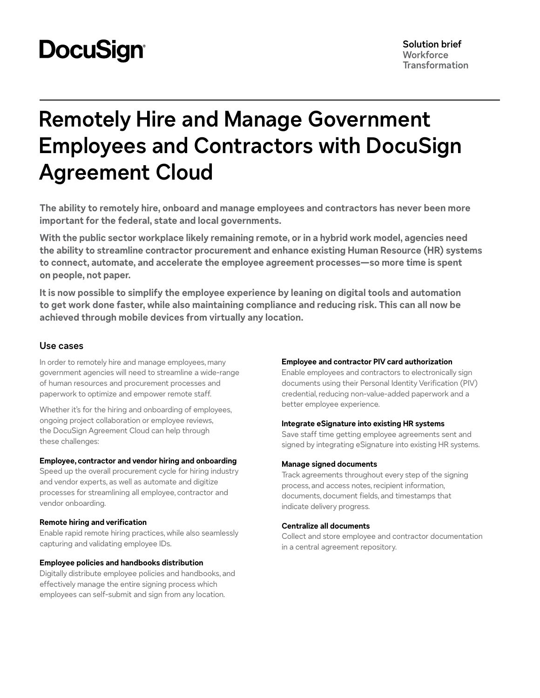# **DocuSign®**

# **Remotely Hire and Manage Government Employees and Contractors with DocuSign Agreement Cloud**

**The ability to remotely hire, onboard and manage employees and contractors has never been more important for the federal, state and local governments.** 

**With the public sector workplace likely remaining remote, or in a hybrid work model, agencies need the ability to streamline contractor procurement and enhance existing Human Resource (HR) systems to connect, automate, and accelerate the employee agreement processes—so more time is spent on people, not paper.** 

**It is now possible to simplify the employee experience by leaning on digital tools and automation to get work done faster, while also maintaining compliance and reducing risk. This can all now be achieved through mobile devices from virtually any location.**

# **Use cases**

In order to remotely hire and manage employees, many government agencies will need to streamline a wide-range of human resources and procurement processes and paperwork to optimize and empower remote staff.

Whether it's for the hiring and onboarding of employees, ongoing project collaboration or employee reviews, the DocuSign Agreement Cloud can help through these challenges:

# **Employee, contractor and vendor hiring and onboarding**

Speed up the overall procurement cycle for hiring industry and vendor experts, as well as automate and digitize processes for streamlining all employee, contractor and vendor onboarding.

# **Remote hiring and verification**

Enable rapid remote hiring practices, while also seamlessly capturing and validating employee IDs.

# **Employee policies and handbooks distribution**

Digitally distribute employee policies and handbooks, and effectively manage the entire signing process which employees can self-submit and sign from any location.

### **Employee and contractor PIV card authorization**

Enable employees and contractors to electronically sign documents using their Personal Identity Verification (PIV) credential, reducing non-value-added paperwork and a better employee experience.

# **Integrate eSignature into existing HR systems**

Save staff time getting employee agreements sent and signed by integrating eSignature into existing HR systems.

# **Manage signed documents**

Track agreements throughout every step of the signing process, and access notes, recipient information, documents, document fields, and timestamps that indicate delivery progress.

# **Centralize all documents**

Collect and store employee and contractor documentation in a central agreement repository.